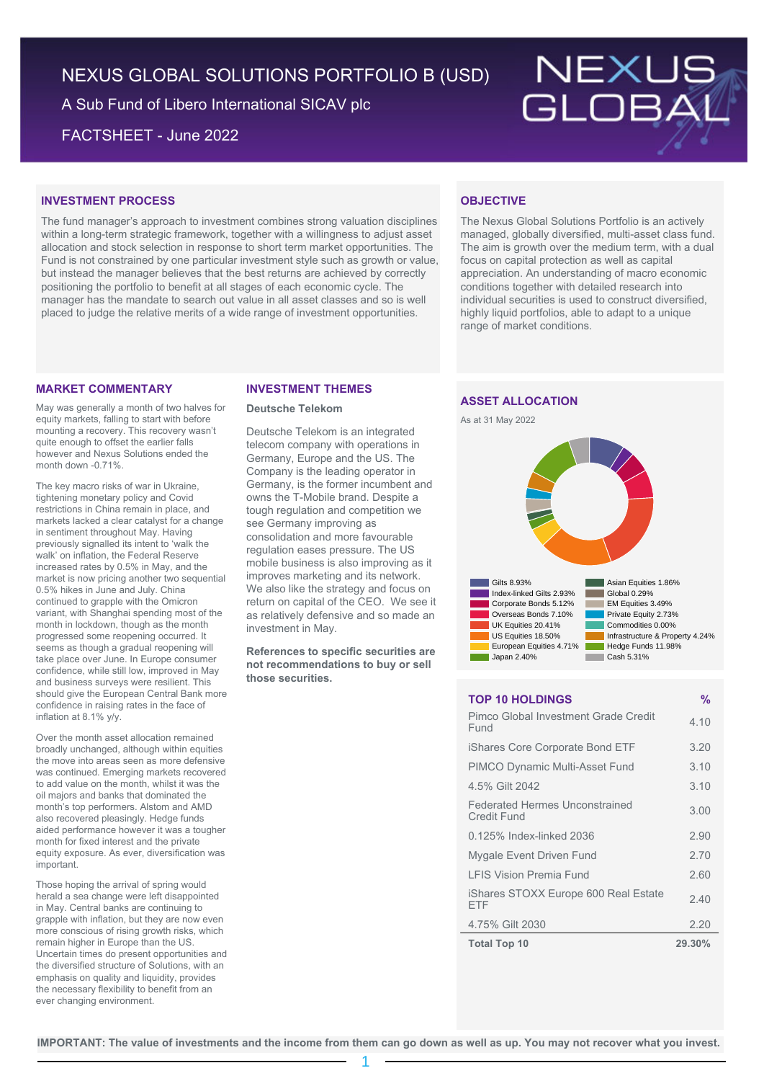# NEXUS GLOBAL SOLUTIONS PORTFOLIO B (USD)

A Sub Fund of Libero International SICAV plc

FACTSHEET - June 2022



# **INVESTMENT PROCESS**

The fund manager's approach to investment combines strong valuation disciplines within a long-term strategic framework, together with a willingness to adjust asset allocation and stock selection in response to short term market opportunities. The Fund is not constrained by one particular investment style such as growth or value, but instead the manager believes that the best returns are achieved by correctly positioning the portfolio to benefit at all stages of each economic cycle. The manager has the mandate to search out value in all asset classes and so is well placed to judge the relative merits of a wide range of investment opportunities.

### **MARKET COMMENTARY**

May was generally a month of two halves for equity markets, falling to start with before mounting a recovery. This recovery wasn't quite enough to offset the earlier falls however and Nexus Solutions ended the month down -0.71%.

The key macro risks of war in Ukraine, tightening monetary policy and Covid restrictions in China remain in place, and markets lacked a clear catalyst for a change in sentiment throughout May. Having previously signalled its intent to 'walk the walk' on inflation, the Federal Reserve increased rates by 0.5% in May, and the market is now pricing another two sequential 0.5% hikes in June and July. China continued to grapple with the Omicron variant, with Shanghai spending most of the month in lockdown, though as the month progressed some reopening occurred. It seems as though a gradual reopening will take place over June. In Europe consumer confidence, while still low, improved in May and business surveys were resilient. This should give the European Central Bank more confidence in raising rates in the face of inflation at 8.1% y/y.

Over the month asset allocation remained broadly unchanged, although within equities the move into areas seen as more defensive was continued. Emerging markets recovered to add value on the month, whilst it was the oil majors and banks that dominated the month's top performers. Alstom and AMD also recovered pleasingly. Hedge funds aided performance however it was a tougher month for fixed interest and the private equity exposure. As ever, diversification was important.

Those hoping the arrival of spring would herald a sea change were left disappointed in May. Central banks are continuing to grapple with inflation, but they are now even more conscious of rising growth risks, which remain higher in Europe than the US. Uncertain times do present opportunities and the diversified structure of Solutions, with an emphasis on quality and liquidity, provides the necessary flexibility to benefit from an ever changing environment.

#### **INVESTMENT THEMES**

#### **Deutsche Telekom**

Deutsche Telekom is an integrated telecom company with operations in Germany, Europe and the US. The Company is the leading operator in Germany, is the former incumbent and owns the T-Mobile brand. Despite a tough regulation and competition we see Germany improving as consolidation and more favourable regulation eases pressure. The US mobile business is also improving as it improves marketing and its network. We also like the strategy and focus on return on capital of the CEO. We see it as relatively defensive and so made an investment in May.

**References to specific securities are not recommendations to buy or sell those securities.**

## **OBJECTIVE**

The Nexus Global Solutions Portfolio is an actively managed, globally diversified, multi-asset class fund. The aim is growth over the medium term, with a dual focus on capital protection as well as capital appreciation. An understanding of macro economic conditions together with detailed research into individual securities is used to construct diversified, highly liquid portfolios, able to adapt to a unique range of market conditions.

## **ASSET ALLOCATION**





### **TOP 10 HOLDINGS %**

| <b>Total Top 10</b>                                  | 29.30% |
|------------------------------------------------------|--------|
| 4.75% Gilt 2030                                      | 2.20   |
| iShares STOXX Europe 600 Real Estate<br>FTF          | 2.40   |
| <b>LFIS Vision Premia Fund</b>                       | 2.60   |
| Mygale Event Driven Fund                             | 2.70   |
| 0.125% Index-linked 2036                             | 2.90   |
| <b>Federated Hermes Unconstrained</b><br>Credit Fund | 3.00   |
| 4.5% Gilt 2042                                       | 3.10   |
| <b>PIMCO Dynamic Multi-Asset Fund</b>                | 3.10   |
| iShares Core Corporate Bond ETF                      | 3.20   |
| Pimco Global Investment Grade Credit<br>Fund         | 4.10   |